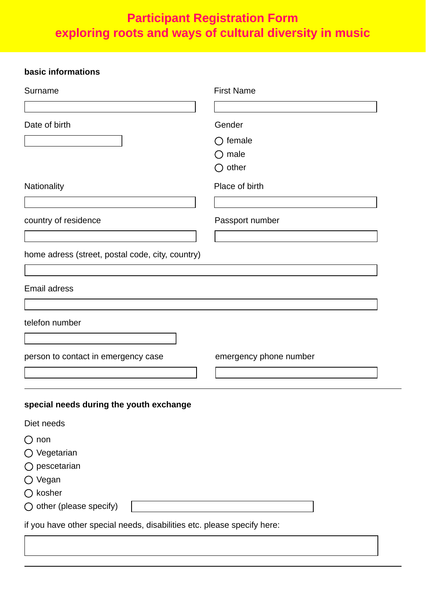# **Participant Registration Form exploring roots and ways of cultural diversity in music**

## **basic informations**

| Surname                                                                 | <b>First Name</b>      |
|-------------------------------------------------------------------------|------------------------|
|                                                                         |                        |
| Date of birth                                                           | Gender                 |
|                                                                         | $\bigcirc$ female      |
|                                                                         | male                   |
|                                                                         | $\bigcirc$ other       |
| Nationality                                                             | Place of birth         |
| country of residence                                                    | Passport number        |
| home adress (street, postal code, city, country)                        |                        |
| <b>Email adress</b>                                                     |                        |
| telefon number                                                          |                        |
|                                                                         |                        |
| person to contact in emergency case                                     | emergency phone number |
|                                                                         |                        |
| special needs during the youth exchange                                 |                        |
| Diet needs                                                              |                        |
| $\bigcirc$ non                                                          |                        |
| ◯ Vegetarian                                                            |                        |
| $\bigcirc$ pescetarian                                                  |                        |
| ◯ Vegan                                                                 |                        |
| $\bigcirc$ kosher                                                       |                        |
| $\bigcirc$ other (please specify)                                       |                        |
| if you have other special needs, disabilities etc. please specify here: |                        |
|                                                                         |                        |